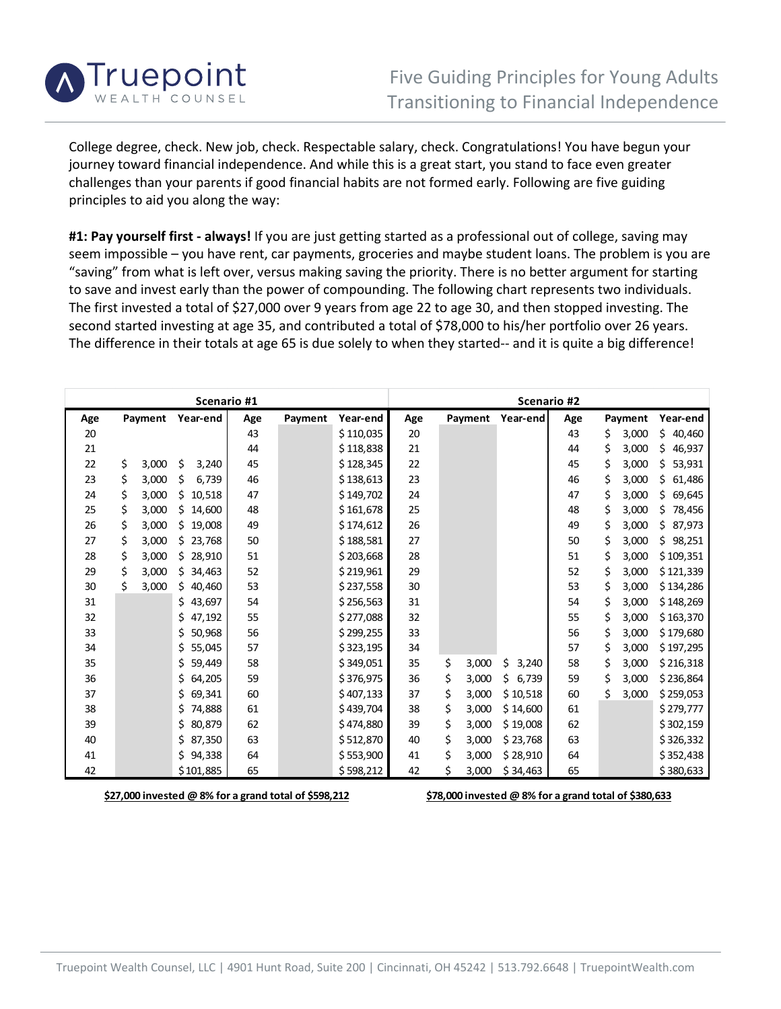

College degree, check. New job, check. Respectable salary, check. Congratulations! You have begun your journey toward financial independence. And while this is a great start, you stand to face even greater challenges than your parents if good financial habits are not formed early. Following are five guiding principles to aid you along the way:

**#1: Pay yourself first ‐ always!** If you are just getting started as a professional out of college, saving may seem impossible – you have rent, car payments, groceries and maybe student loans. The problem is you are "saving" from what is left over, versus making saving the priority. There is no better argument for starting to save and invest early than the power of compounding. The following chart represents two individuals. The first invested a total of \$27,000 over 9 years from age 22 to age 30, and then stopped investing. The second started investing at age 35, and contributed a total of \$78,000 to his/her portfolio over 26 years. The difference in their totals at age 65 is due solely to when they started-- and it is quite a big difference!

| Scenario #1 |         |       |               |     |         |           | Scenario #2 |         |       |             |     |         |       |               |
|-------------|---------|-------|---------------|-----|---------|-----------|-------------|---------|-------|-------------|-----|---------|-------|---------------|
| Age         | Payment |       | Year-end      | Age | Payment | Year-end  | Age         | Payment |       | Year-end    | Age | Payment |       | Year-end      |
| 20          |         |       |               | 43  |         | \$110,035 | 20          |         |       |             | 43  | \$      | 3,000 | \$.<br>40,460 |
| 21          |         |       |               | 44  |         | \$118,838 | 21          |         |       |             | 44  | \$      | 3,000 | \$<br>46,937  |
| 22          | \$      | 3,000 | Ś<br>3,240    | 45  |         | \$128,345 | 22          |         |       |             | 45  | Ś       | 3,000 | Ś.<br>53,931  |
| 23          | \$      | 3,000 | \$<br>6,739   | 46  |         | \$138,613 | 23          |         |       |             | 46  | \$      | 3,000 | \$<br>61,486  |
| 24          | \$      | 3,000 | Ś.<br>10,518  | 47  |         | \$149,702 | 24          |         |       |             | 47  | Ś       | 3,000 | Ś.<br>69,645  |
| 25          | \$      | 3,000 | \$14,600      | 48  |         | \$161,678 | 25          |         |       |             | 48  | \$      | 3,000 | \$<br>78,456  |
| 26          | \$      | 3,000 | \$19,008      | 49  |         | \$174,612 | 26          |         |       |             | 49  | \$      | 3,000 | 87,973<br>\$. |
| 27          | \$      | 3,000 | \$23,768      | 50  |         | \$188,581 | 27          |         |       |             | 50  | \$      | 3,000 | \$<br>98,251  |
| 28          | \$      | 3,000 | \$28,910      | 51  |         | \$203,668 | 28          |         |       |             | 51  | \$      | 3,000 | \$109,351     |
| 29          | \$      | 3,000 | \$34,463      | 52  |         | \$219,961 | 29          |         |       |             | 52  | \$      | 3,000 | \$121,339     |
| 30          | \$      | 3,000 | \$40,460      | 53  |         | \$237,558 | 30          |         |       |             | 53  | \$      | 3,000 | \$134,286     |
| 31          |         |       | \$<br>43,697  | 54  |         | \$256,563 | 31          |         |       |             | 54  | \$      | 3,000 | \$148,269     |
| 32          |         |       | \$<br>47,192  | 55  |         | \$277,088 | 32          |         |       |             | 55  | \$      | 3,000 | \$163,370     |
| 33          |         |       | \$<br>50,968  | 56  |         | \$299,255 | 33          |         |       |             | 56  | \$      | 3,000 | \$179,680     |
| 34          |         |       | \$<br>55,045  | 57  |         | \$323,195 | 34          |         |       |             | 57  | \$      | 3,000 | \$197,295     |
| 35          |         |       | \$.<br>59,449 | 58  |         | \$349,051 | 35          | \$      | 3,000 | \$<br>3,240 | 58  | \$      | 3,000 | \$216,318     |
| 36          |         |       | \$64,205      | 59  |         | \$376,975 | 36          | \$      | 3,000 | \$<br>6,739 | 59  | \$      | 3,000 | \$236,864     |
| 37          |         |       | 69,341<br>\$. | 60  |         | \$407,133 | 37          | \$      | 3,000 | \$10,518    | 60  | Ś.      | 3,000 | \$259,053     |
| 38          |         |       | \$.<br>74,888 | 61  |         | \$439,704 | 38          | \$      | 3,000 | \$14,600    | 61  |         |       | \$279,777     |
| 39          |         |       | 80,879<br>\$. | 62  |         | \$474,880 | 39          | \$      | 3,000 | \$19,008    | 62  |         |       | \$302,159     |
| 40          |         |       | \$ 87,350     | 63  |         | \$512,870 | 40          | \$      | 3,000 | \$23,768    | 63  |         |       | \$326,332     |
| 41          |         |       | \$94,338      | 64  |         | \$553,900 | 41          | \$      | 3,000 | \$28,910    | 64  |         |       | \$352,438     |
| 42          |         |       | \$101,885     | 65  |         | \$598,212 | 42          | \$      | 3,000 | \$34,463    | 65  |         |       | \$380,633     |

\$27,000 invested @ 8% for a grand total of \$598,212 \$78,000 invested @ 8% for a grand total of \$380,633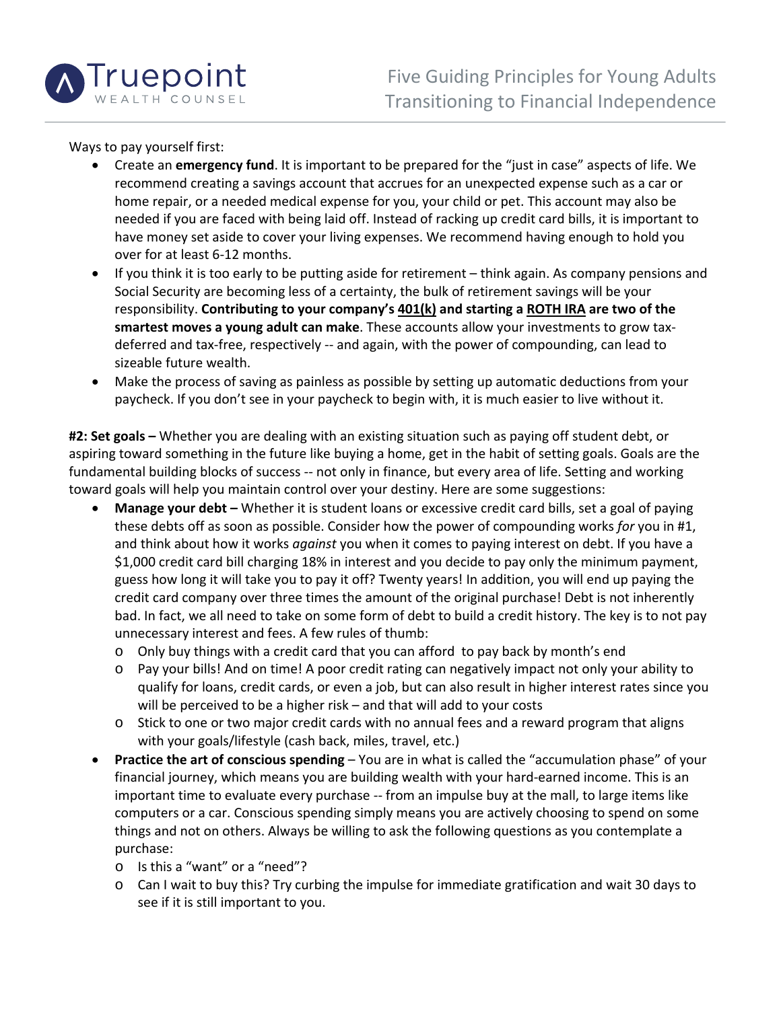

Ways to pay yourself first:

- Create an **emergency fund**. It is important to be prepared for the "just in case" aspects of life. We recommend creating a savings account that accrues for an unexpected expense such as a car or home repair, or a needed medical expense for you, your child or pet. This account may also be needed if you are faced with being laid off. Instead of racking up credit card bills, it is important to have money set aside to cover your living expenses. We recommend having enough to hold you over for at least 6‐12 months.
- If you think it is too early to be putting aside for retirement think again. As company pensions and Social Security are becoming less of a certainty, the bulk of retirement savings will be your responsibility. **Contributing to your company's 401(k) and starting a ROTH IRA are two of the smartest moves a young adult can make**. These accounts allow your investments to grow tax‐ deferred and tax‐free, respectively ‐‐ and again, with the power of compounding, can lead to sizeable future wealth.
- Make the process of saving as painless as possible by setting up automatic deductions from your paycheck. If you don't see in your paycheck to begin with, it is much easier to live without it.

**#2: Set goals –** Whether you are dealing with an existing situation such as paying off student debt, or aspiring toward something in the future like buying a home, get in the habit of setting goals. Goals are the fundamental building blocks of success ‐‐ not only in finance, but every area of life. Setting and working toward goals will help you maintain control over your destiny. Here are some suggestions:

- **Manage your debt –** Whether it is student loans or excessive credit card bills, set a goal of paying these debts off as soon as possible. Consider how the power of compounding works *for* you in #1, and think about how it works *against* you when it comes to paying interest on debt. If you have a \$1,000 credit card bill charging 18% in interest and you decide to pay only the minimum payment, guess how long it will take you to pay it off? Twenty years! In addition, you will end up paying the credit card company over three times the amount of the original purchase! Debt is not inherently bad. In fact, we all need to take on some form of debt to build a credit history. The key is to not pay unnecessary interest and fees. A few rules of thumb:
	- o Only buy things with a credit card that you can afford to pay back by month's end
	- o Pay your bills! And on time! A poor credit rating can negatively impact not only your ability to qualify for loans, credit cards, or even a job, but can also result in higher interest rates since you will be perceived to be a higher risk – and that will add to your costs
	- $\circ$  Stick to one or two major credit cards with no annual fees and a reward program that aligns with your goals/lifestyle (cash back, miles, travel, etc.)
- **Practice the art of conscious spending** You are in what is called the "accumulation phase" of your financial journey, which means you are building wealth with your hard-earned income. This is an important time to evaluate every purchase -- from an impulse buy at the mall, to large items like computers or a car. Conscious spending simply means you are actively choosing to spend on some things and not on others. Always be willing to ask the following questions as you contemplate a purchase:
	- o Is this a "want" or a "need"?
	- o Can I wait to buy this? Try curbing the impulse for immediate gratification and wait 30 days to see if it is still important to you.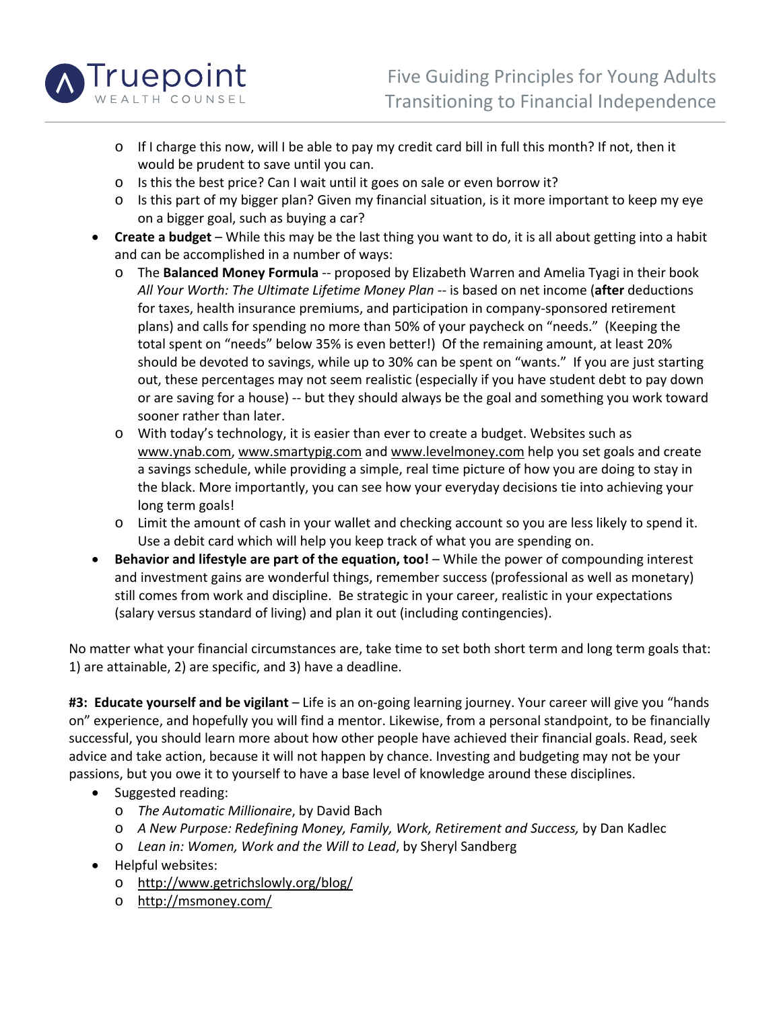

- o If I charge this now, will I be able to pay my credit card bill in full this month? If not, then it would be prudent to save until you can.
- o Is this the best price? Can I wait until it goes on sale or even borrow it?
- $\circ$  Is this part of my bigger plan? Given my financial situation, is it more important to keep my eye on a bigger goal, such as buying a car?
- **Create a budget** While this may be the last thing you want to do, it is all about getting into a habit and can be accomplished in a number of ways:
	- o The **Balanced Money Formula** ‐‐ proposed by Elizabeth Warren and Amelia Tyagi in their book *All Your Worth: The Ultimate Lifetime Money Plan* ‐‐ is based on net income (**after** deductions for taxes, health insurance premiums, and participation in company‐sponsored retirement plans) and calls for spending no more than 50% of your paycheck on "needs." (Keeping the total spent on "needs" below 35% is even better!) Of the remaining amount, at least 20% should be devoted to savings, while up to 30% can be spent on "wants." If you are just starting out, these percentages may not seem realistic (especially if you have student debt to pay down or are saving for a house) -- but they should always be the goal and something you work toward sooner rather than later.
	- o With today's technology, it is easier than ever to create a budget. Websites such as www.ynab.com, www.smartypig.com and www.levelmoney.com help you set goals and create a savings schedule, while providing a simple, real time picture of how you are doing to stay in the black. More importantly, you can see how your everyday decisions tie into achieving your long term goals!
	- o Limit the amount of cash in your wallet and checking account so you are less likely to spend it. Use a debit card which will help you keep track of what you are spending on.
- **Behavior and lifestyle are part of the equation, too!** While the power of compounding interest and investment gains are wonderful things, remember success (professional as well as monetary) still comes from work and discipline. Be strategic in your career, realistic in your expectations (salary versus standard of living) and plan it out (including contingencies).

No matter what your financial circumstances are, take time to set both short term and long term goals that: 1) are attainable, 2) are specific, and 3) have a deadline.

**#3: Educate yourself and be vigilant** – Life is an on‐going learning journey. Your career will give you "hands on" experience, and hopefully you will find a mentor. Likewise, from a personal standpoint, to be financially successful, you should learn more about how other people have achieved their financial goals. Read, seek advice and take action, because it will not happen by chance. Investing and budgeting may not be your passions, but you owe it to yourself to have a base level of knowledge around these disciplines.

- Suggested reading:
	- o *The Automatic Millionaire*, by David Bach
	- o *A New Purpose: Redefining Money, Family, Work, Retirement and Success,* by Dan Kadlec
	- o *Lean in: Women, Work and the Will to Lead*, by Sheryl Sandberg
- Helpful websites:
	- o http://www.getrichslowly.org/blog/
	- o http://msmoney.com/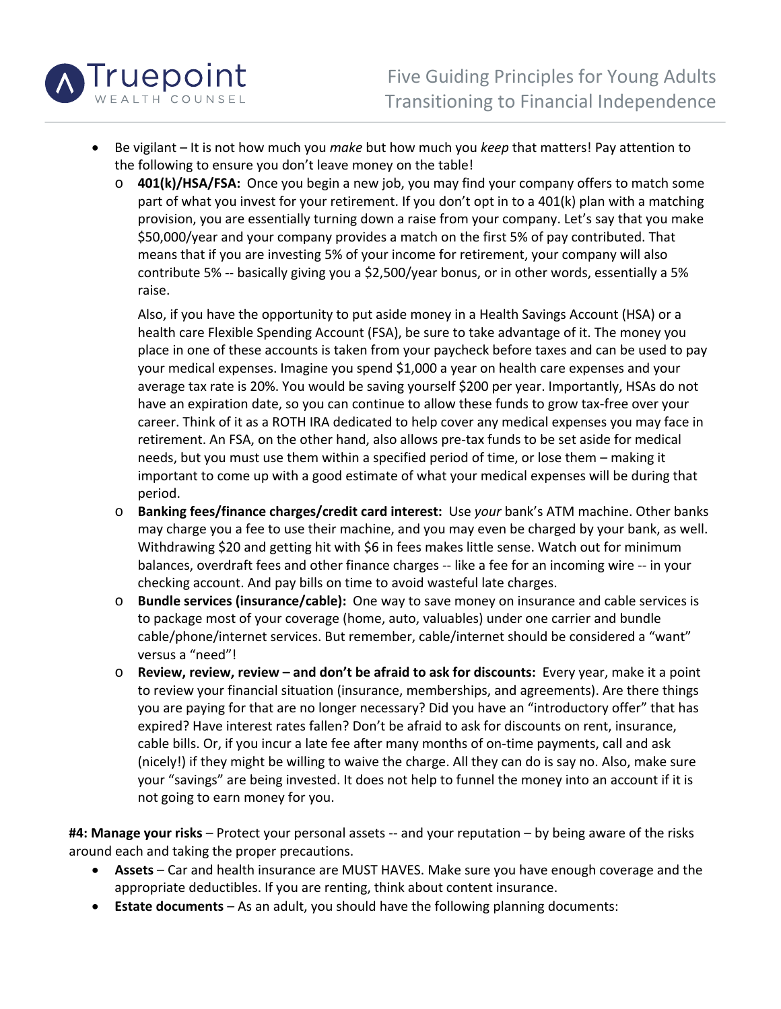

- Be vigilant It is not how much you *make* but how much you *keep* that matters! Pay attention to the following to ensure you don't leave money on the table!
	- **401(k)/HSA/FSA:** Once you begin a new job, you may find your company offers to match some part of what you invest for your retirement. If you don't opt in to a 401(k) plan with a matching provision, you are essentially turning down a raise from your company. Let's say that you make \$50,000/year and your company provides a match on the first 5% of pay contributed. That means that if you are investing 5% of your income for retirement, your company will also contribute 5% ‐‐ basically giving you a \$2,500/year bonus, or in other words, essentially a 5% raise.

Also, if you have the opportunity to put aside money in a Health Savings Account (HSA) or a health care Flexible Spending Account (FSA), be sure to take advantage of it. The money you place in one of these accounts is taken from your paycheck before taxes and can be used to pay your medical expenses. Imagine you spend \$1,000 a year on health care expenses and your average tax rate is 20%. You would be saving yourself \$200 per year. Importantly, HSAs do not have an expiration date, so you can continue to allow these funds to grow tax-free over your career. Think of it as a ROTH IRA dedicated to help cover any medical expenses you may face in retirement. An FSA, on the other hand, also allows pre‐tax funds to be set aside for medical needs, but you must use them within a specified period of time, or lose them – making it important to come up with a good estimate of what your medical expenses will be during that period.

- o **Banking fees/finance charges/credit card interest:** Use *your* bank's ATM machine. Other banks may charge you a fee to use their machine, and you may even be charged by your bank, as well. Withdrawing \$20 and getting hit with \$6 in fees makes little sense. Watch out for minimum balances, overdraft fees and other finance charges ‐‐ like a fee for an incoming wire ‐‐ in your checking account. And pay bills on time to avoid wasteful late charges.
- o **Bundle services (insurance/cable):** One way to save money on insurance and cable services is to package most of your coverage (home, auto, valuables) under one carrier and bundle cable/phone/internet services. But remember, cable/internet should be considered a "want" versus a "need"!
- o **Review, review, review – and don't be afraid to ask for discounts:** Every year, make it a point to review your financial situation (insurance, memberships, and agreements). Are there things you are paying for that are no longer necessary? Did you have an "introductory offer" that has expired? Have interest rates fallen? Don't be afraid to ask for discounts on rent, insurance, cable bills. Or, if you incur a late fee after many months of on-time payments, call and ask (nicely!) if they might be willing to waive the charge. All they can do is say no. Also, make sure your "savings" are being invested. It does not help to funnel the money into an account if it is not going to earn money for you.

**#4: Manage your risks** – Protect your personal assets ‐‐ and your reputation – by being aware of the risks around each and taking the proper precautions.

- **Assets** Car and health insurance are MUST HAVES. Make sure you have enough coverage and the appropriate deductibles. If you are renting, think about content insurance.
- **Estate documents** As an adult, you should have the following planning documents: